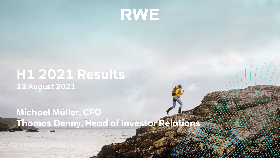

# **H1 2021 Results 12 August 2021**

## **Michael Müller, CFO Thomas Denny, Head of Investor Relations**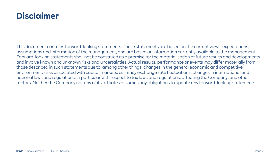## **Disclaimer**

This document contains forward-looking statements. These statements are based on the current views, expectations, assumptions and information of the management, and are based on information currently available to the management. Forward-looking statements shall not be construed as a promise for the materialisation of future results and developments and involve known and unknown risks and uncertainties. Actual results, performance or events may differ materially from those described in such statements due to, among other things, changes in the general economic and competitive environment, risks associated with capital markets, currency exchange rate fluctuations, changes in international and national laws and regulations, in particular with respect to tax laws and regulations, affecting the Company, and other factors. Neither the Company nor any of its affiliates assumes any obligations to update any forward-looking statements.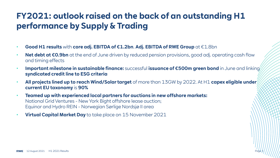## **FY2021: outlook raised on the back of an outstanding H1 performance by Supply & Trading**

- **Good H1 results** with **core adj. EBITDA of €1.2bn**. **Adj. EBITDA of RWE Group** at €1.8bn
- **Net debt at €0.9bn** at the end of June driven by reduced pension provisions, good adj. operating cash flow and timing effects
- **Important milestone in sustainable finance:** successful **issuance of €500m green bond** in June and linking **syndicated credit line to ESG criteria**
- **All projects lined up to reach Wind/Solar target** of more than 13GW by 2022. At H1 **capex eligible under current EU taxonomy** is **90%**

Page 3

- **Teamed up with experienced local partners for auctions in new offshore markets:** National Grid Ventures - New York Bight offshore lease auction; Equinor and Hydro REIN - Norwegian Sørlige Nordsjø II area
- **Virtual Capital Market Day** to take place on 15 November 2021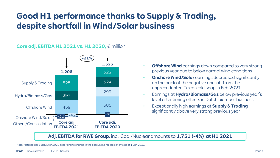## **Good H1 performance thanks to Supply & Trading, despite shortfall in Wind/Solar business**

#### **Core adj. EBITDA H1 2021 vs. H1 2020,** € million



- **Offshore Wind** earnings down compared to very strong previous year due to below normal wind conditions
- **Onshore Wind/Solar** earnings decreased significantly on the back of the negative one-off from the unprecedented Texas cold snap in Feb 2021
- Earnings at **Hydro/Biomass/Gas** below previous year's level after timing effects in Dutch biomass business
- Exceptionally high earnings at **Supply & Trading**  significantly above very strong previous year

**Adj. EBITDA for RWE Group**, incl. Coal/Nuclear amounts to **1,751 (-4%) at H1 2021**

Note: restated adj. EBITDA for 2020 according to change in the accounting for tax benefits as of 1 Jan 2021.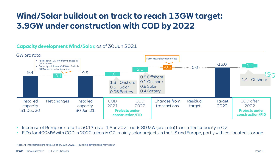## **Wind/Solar buildout on track to reach 13GW target: 3.9GW under construction with COD by 2022**

#### **Capacity development Wind/Solar,** as of 30 Jun 2021



- Increase of Rampion stake to 50.1% as of 1 Apr 2021 adds 80 MW (pro rata) to installed capacity in Q2
- FIDs for 400MW with COD in 2022 taken in Q2, mainly solar projects in the US and Europe, partly with co-located storage

Note: All information pro rata. As of 30 Jun 2021. | Rounding differences may occur.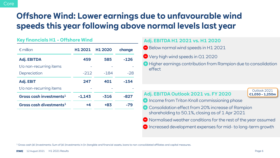## **Offshore Wind: Lower earnings due to unfavourable wind speeds this year following above normal levels last year**

#### **Key financials H1 - Offshore Wind**

| $\epsilon$ million                  | H <sub>1</sub> 2021 | H <sub>1</sub> 2020 | change |
|-------------------------------------|---------------------|---------------------|--------|
| <b>Adj. EBITDA</b>                  | 459                 | 585                 | $-126$ |
| t/o non-recurring items             |                     |                     |        |
| Depreciation                        | $-212$              | $-184$              | $-28$  |
| Adj. EBIT                           | 247                 | 401                 | -154   |
| t/o non-recurring items             |                     |                     |        |
| Gross cash investments <sup>1</sup> | $-1.143$            | $-316$              | -827   |
| Gross cash divestments <sup>1</sup> | +4                  | +83                 | -79    |

#### **Adj. EBITDA H1 2021 vs. H1 2020**

- Below normal wind speeds in H1 2021
- Very high wind speeds in Q1 2020
- Higher earnings contribution from Rampion due to consolidation effect

#### **Adj. EBITDA Outlook 2021 vs. FY 2020**

Outlook 2021 **€1,050 – 1,250m**

- **O** Income from Triton Knoll commissioning phase
- **Consolidation effect from 20% increase of Rampion** shareholding to 50.1%, closing as of 1 Apr 2021
- $\bigcirc$  Normalised weather conditions for the rest of the year assumed
- $\Box$  Increased development expenses for mid- to long-term growth

<sup>1</sup> Gross cash (di-)investments: Sum of (di-)investments in (in-)tangible and financial assets, loans to non-consolidated affiliates and capital measures.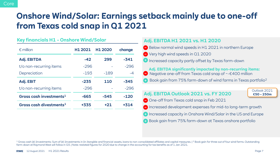## **Onshore Wind/Solar: Earnings setback mainly due to one-off from Texas cold snap in Q1 2021**

#### **Key financials H1 - Onshore Wind/Solar**

| $\epsilon$ million                  | H1 2021 | H <sub>1</sub> 2020 | change |
|-------------------------------------|---------|---------------------|--------|
| <b>Adj. EBITDA</b>                  | $-42$   | 299                 | -341   |
| t/o non-recurring items             | $-296$  |                     | -296   |
| Depreciation                        | $-193$  | $-189$              | $-4$   |
| Adj. EBIT                           | $-235$  | 110                 | -345   |
| t/o non-recurring items             | $-296$  |                     | $-296$ |
| Gross cash investments <sup>1</sup> | -665    | $-545$              | $-120$ |
| Gross cash divestments <sup>1</sup> | +335    | $+21$               | +314   |

#### **Adj. EBITDA H1 2021 vs. H1 2020**

- $\bigcirc$  Below normal wind speeds in H1 2021 in northern Europe
- **■** Very high wind speeds in Q1 2020
- **Increased capacity partly offset by Texas farm-down**

**Adj. EBITDA significantly impacted by non-recurring items:**

- Negative one-off from Texas cold snap of ~-€400 million
- Book gain from 75% farm-down of wind farms in Texas portfolio<sup>2</sup>

#### **Adj. EBITDA Outlook 2021 vs. FY 2020**

Outlook 2021 **€50 – 250m**

- One-off from Texas cold snap in Feb 2021
- **Increased development expenses for mid-to long-term growth**
- **Increased capacity in Onshore Wind/Solar in the US and Europe**
- **Book gain from 75% farm-down at Texas onshore portfolio**

<sup>1</sup> Gross cash (di-)investments: Sum of (di-)investments in (in-)tangible and financial assets, loans to non-consolidated affiliates and capital measures. | <sup>2</sup> Book gain for three out of four wind farms. Outstanding farm-down at Raymond West will follow in Q3. | Note: restated figures for 2020 due to change in the accounting for tax benefits as of 1 Jan 2021.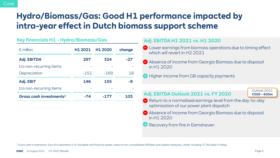## **Hydro/Biomass/Gas: Good H1 performance impacted by intra-year effect in Dutch biomass support scheme**

|  |  |  | Key financials H1 - Hydro/Biomass/Gas |
|--|--|--|---------------------------------------|
|--|--|--|---------------------------------------|

| $\epsilon$ million                  | H1 2021 | H <sub>1</sub> 2020 | change |
|-------------------------------------|---------|---------------------|--------|
| <b>Adj. EBITDA</b>                  | 297     | 324                 | -27    |
| t/o non-recurring items             |         |                     |        |
| Depreciation                        | $-151$  | $-169$              | 18     |
| Adj. EBIT                           | 146     | 155                 | -9     |
| t/o non-recurring items             |         |                     |        |
| Gross cash investments <sup>1</sup> | -74     | -177                | 103    |

#### **Adj. EBITDA H1 2021 vs. H1 2020**

- **P** Lower earnings from biomass operations due to timing effect which will revert in H2 2021
- Absence of income from Georgia Biomass due to disposal in H1 2020
- **Higher income from GB capacity payments**

### **Adj. EBITDA Outlook 2021 vs. FY 2020**

Outlook 2021 **€500 – 600m**

- Return to a normalised earnings level from the day-to-day optimisation of our power plant dispatch
- Absence of income from Georgia Biomass due to disposal in H1 2020
- **B** Recovery from fire in Eemshaven

<sup>1</sup> Gross cash investments: Sum of investments in (in-)tangible and financial assets, loans to non-consolidated affiliates and capital measures. | Note: including 37.9% stake in Kelag.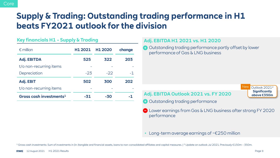## **Supply & Trading: Outstanding trading performance in H1 beats FY2021 outlook for the division**

#### **Key financials H1 - Supply & Trading**

| $\epsilon$ million                  | H1 2021 | H <sub>1</sub> 2020 | change |
|-------------------------------------|---------|---------------------|--------|
| <b>Adj. EBITDA</b>                  | 525     | 322                 | 203    |
| t/o non-recurring items             |         |                     |        |
| Depreciation                        | $-23$   | $-22$               | $-1$   |
| Adj. EBIT                           | 502     | 300                 | 202    |
| t/o non-recurring items             |         |                     |        |
| Gross cash investments <sup>1</sup> | -31     | -30                 |        |

#### **Adj. EBITDA H1 2021 vs. H1 2020**

**Outstanding trading performance partly offset by lower** performance of Gas & LNG business

- **Adj. EBITDA Outlook 2021 vs. FY 2020**
- **Outstanding trading performance**
- **P** Lower earnings from Gas & LNG business after strong FY 2020 performance
- Long-term average earnings of  $\sim \epsilon$ 250 million

<sup>1</sup> Gross cash investments: Sum of investments in (in-)tangible and financial assets, loans to non-consolidated affiliates and capital measures. | <sup>2</sup> Update on outlook Jul 2021. Previously €150m – 350m.

Outlook 2021<sup>2</sup> **Significantly above €350m**

**New**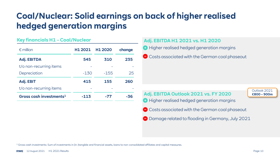## **Coal/Nuclear: Solid earnings on back of higher realised hedged generation margins**

#### **Key financials H1 - Coal/Nuclear**

| $\epsilon$ million                  | H <sub>1</sub> 2021 | H <sub>1</sub> 2020 | change |
|-------------------------------------|---------------------|---------------------|--------|
| <b>Adj. EBITDA</b>                  | 545                 | 310                 | 235    |
| t/o non-recurring items             |                     |                     |        |
| Depreciation                        | $-130$              | $-155$              | 25     |
| Adj. EBIT                           | 415                 | 155                 | 260    |
| t/o non-recurring items             |                     |                     |        |
| Gross cash investments <sup>1</sup> | $-113$              | -77                 | -36    |

#### **Adj. EBITDA H1 2021 vs. H1 2020**

- **Higher realised hedged generation margins**
- Costs associated with the German coal phaseout

## **Adj. EBITDA Outlook 2021 vs. FY 2020**

Outlook 2021 **€800 – 900m**

- **Higher realised hedged generation margins**
- Costs associated with the German coal phaseout
- **Damage related to flooding in Germany, July 2021**

<sup>1</sup> Gross cash investments: Sum of investments in (in-)tangible and financial assets, loans to non-consolidated affiliates and capital measures.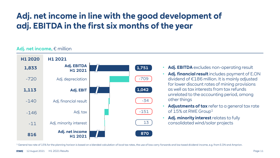## **Adj. net income in line with the good development of adj. EBITDA in the first six months of the year**

#### **Adj. net income,** € million



- **Adj. EBITDA** excludes non-operating result
- **Adj. financial result** includes payment of E.ON dividend of €186 million. It is mainly adjusted for lower discount rates of mining provisions as well as tax interests from tax refunds unrelated to the accounting period, among other things
- **Adjustments of tax** refer to a general tax rate of 15% at RWE Group<sup>1</sup>
- Adj. minority interest relates to fully consolidated wind/solar projects

<sup>1</sup> General tax rate of 15% for the planning horizon is based on a blended calculation of local tax rates, the use of loss carry forwards and low taxed dividend income, e.g. from E.ON and Amprion.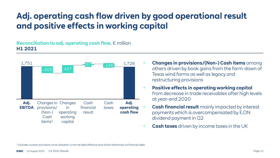## **Adj. operating cash flow driven by good operational result and positive effects in working capital**

#### **Reconciliation to adj. operating cash flow,** € million **H1 2021**



- **Changes in provisions/(Non-) Cash items** among others driven by book gains from the farm-down of Texas wind farms as well as legacy and restructuring provisions
- **Positive effects in operating working capital**  from decrease in trade receivables after high levels at year-end 2020
- **Cash financial result** mainly impacted by interest payments which is overcompensated by E.ON dividend payment in Q2
- **Cash taxes** driven by income taxes in the UK

<sup>1</sup> Excludes nuclear provisions since utilisation is not net debt effective and will be refinanced via financial debt.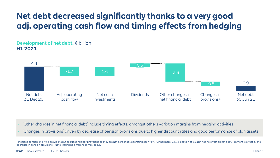## **Net debt decreased significantly thanks to a very good adj. operating cash flow and timing effects from hedging**

#### **Development of net debt. € billion H1 2021**



- 'Other changes in net financial debt' include timing effects, amongst others variation margins from hedging activities
- 'Changes in provisions' driven by decrease of pension provisions due to higher discount rates and good performance of plan assets

<sup>1</sup> Includes pension and wind provisions but excludes nuclear provisions as they are not part of adj. operating cash flow. Furthermore, CTA allocation of €1.1bn has no effect on net debt. Payment is offset by the decrease in pension provisions. | Note: Rounding differences may occur.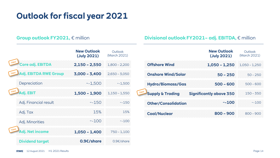## **Outlook for fiscal year 2021**

|     |                              | <b>New Outlook</b><br>(July 2021) | Outlook<br>(March 2021) |                                  |
|-----|------------------------------|-----------------------------------|-------------------------|----------------------------------|
| New | Core adj. EBITDA             | $2,150 - 2,550$                   | $1,800 - 2,200$         | <b>Offshore Wind</b>             |
| New | <b>Adj. EBITDA RWE Group</b> | $3,000 - 3,400$                   | $2,650 - 3,050$         | <b>Onshore Wind</b>              |
|     | Depreciation                 | $-1,500$                          | $-1,500$                | <b>Hydro/Biomas</b>              |
| New | Adj. EBIT                    | $1,500 - 1,900$                   | $1,150 - 1,550$         | New<br><b>Supply &amp; Tradi</b> |
|     | Adj. Financial result        | $~-150$                           | $~-150$                 | <b>Other/Consoli</b>             |
|     | Adj. Tax                     | 15%                               | 15%                     | <b>Coal/Nuclear</b>              |
|     | Adj. Minorities              | ~100                              | $~-100$                 |                                  |
| New | Adj. Net income              | $1,050 - 1,400$                   | $750 - 1,100$           |                                  |
|     | <b>Dividend target</b>       | 0.9€/share                        | 0.9€/share              |                                  |
|     |                              |                                   |                         |                                  |

#### **Group outlook FY2021,** € million **Divisional outlook FY2021– adj. EBITDA,** € million

|                                           | <b>New Outlook</b><br>(July 2021) | Outlook<br>(March 2021) |
|-------------------------------------------|-----------------------------------|-------------------------|
| <b>Offshore Wind</b>                      | $1,050 - 1,250$                   | $1.050 - 1.250$         |
| <b>Onshore Wind/Solar</b>                 | $50 - 250$                        | $50 - 250$              |
| <b>Hydro/Biomass/Gas</b>                  | $500 - 600$                       | $500 - 600$             |
| <b>New</b><br><b>Supply &amp; Trading</b> | <b>Significantly above 350</b>    | $150 - 350$             |
| <b>Other/Consolidation</b>                | ~100                              | ~100                    |
| <b>Coal/Nuclear</b>                       | $800 - 900$                       | $800 - 900$             |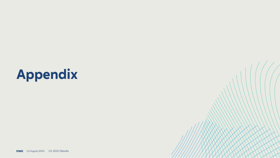# **Appendix**

**RWE** 12 August 2021 H1 2021 Results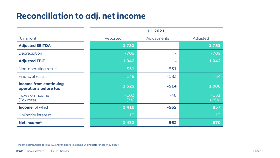## **Reconciliation to adj. net income**

|                                                        |                | H1 2021     |                 |
|--------------------------------------------------------|----------------|-------------|-----------------|
| $(E \text{ million})$                                  | Reported       | Adjustments | Adjusted        |
| <b>Adjusted EBITDA</b>                                 | 1,751          | ÷           | 1,751           |
| Depreciation                                           | $-709$         |             | $-709$          |
| <b>Adjusted EBIT</b>                                   | 1,042          | <b>COL</b>  | 1,042           |
| Non-operating result                                   | 331            | $-331$      |                 |
| <b>Financial result</b>                                | 149            | $-183$      | $-34$           |
| <b>Income from continuing</b><br>operations before tax | 1,522          | $-514$      | 1,008           |
| Taxes on income<br>(Tax rate)                          | $-103$<br>(7%) | $-48$       | $-151$<br>(15%) |
| <b>Income, of which</b>                                | 1,419          | $-562$      | 857             |
| Minority interest                                      | $-13$          |             | $-13$           |
| Net income <sup>1</sup>                                | 1,432          | $-562$      | 870             |

<sup>1</sup> Income attributable to RWE AG shareholders. | Note: Rounding differences may occur.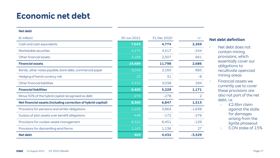## **Economic net debt**

#### **Net debt**

| $(\epsilon$ million)                                          | 30 Jun 2021 | 31 Dec 2020 | $+/-$          |
|---------------------------------------------------------------|-------------|-------------|----------------|
| Cash and cash equivalents                                     | 7,043       | 4,774       | 2,269          |
| Marketable securities                                         | 4,273       | 4,517       | $-244$         |
| Other financial assets                                        | 3,168       | 2,507       | 661            |
| <b>Financial assets</b>                                       | 14,484      | 11,798      | 2,686          |
| Bonds, other notes payable, bank debt, commercial paper       | 3,045       | 2,160       | 885            |
| Hedging of bond currency risk                                 | 23          | 31          | $-8$           |
| Other financial liabilities                                   | 3,332       | 3,038       | 294            |
| <b>Financial liabilities</b>                                  | 6,400       | 5,229       | 1,171          |
| Minus 50% of the hybrid capital recognised as debt            | $-276$      | $-278$      | $\overline{2}$ |
| Net financial assets (including correction of hybrid capital) | 8,360       | 6,847       | 1,513          |
| Provisions for pensions and similar obligations               | 2,226       | 3,864       | $-1,638$       |
| Surplus of plan assets over benefit obligations               | $-448$      | $-172$      | $-276$         |
| Provisions for nuclear waste management                       | 6,322       | 6,451       | $-129$         |
| Provisions for dismantling wind farms                         | 1,163       | 1,136       | 27             |
| <b>Net debt</b>                                               | 903         | 4,432       | $-3,529$       |

#### **Net debt definition**

- Net debt does not contain mining provisions, which essentially cover our obligations to recultivate opencast mining areas
- Financial assets we currently use to cover these provisions are also not part of the net debt, i.e.
	- o €2.6bn claim against the state for damages arising from the lignite phaseout
	- o E.ON stake of 15%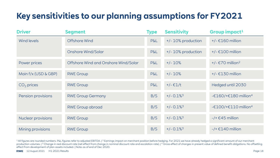## **Key sensitivities to our planning assumptions for FY2021**

| <b>Driver</b>        | <b>Segment</b>                       | <b>Type</b>    | <b>Sensitivity</b>       | Group impact <sup>1</sup>              |
|----------------------|--------------------------------------|----------------|--------------------------|----------------------------------------|
| Wind levels          | <b>Offshore Wind</b>                 | <b>P&amp;L</b> | +/- 10% production       | $+/- \text{\textsterling}160$ million  |
|                      | <b>Onshore Wind/Solar</b>            | <b>P&amp;L</b> | +/- 10% production       | $+/- \text{\textsterling}100$ million  |
| Power prices         | Offshore Wind and Onshore Wind/Solar | <b>P&amp;L</b> | $+/- 10%$                | +/- $\epsilon$ 70 million <sup>2</sup> |
| Main f/x (USD & GBP) | <b>RWE Group</b>                     | <b>P&amp;L</b> | $+/- 10%$                | $+/- \epsilon$ 130 million             |
| $CO2$ prices         | <b>RWE Group</b>                     | <b>P&amp;L</b> | $+/- €1/t$               | Hedged until 2030                      |
| Pension provisions   | <b>RWE Group Germany</b>             | B/S            | $+/- 0.1\%$ <sup>3</sup> | -€160/+€180 million <sup>4</sup>       |
|                      | <b>RWE</b> Group abroad              | B/S            | $+/- 0.1\%$ <sup>3</sup> | $-£100/+£110$ million <sup>4</sup>     |
| Nuclear provisions   | <b>RWE Group</b>                     | B/S            | $+/- 0.1\%$ <sup>3</sup> | $-$ /+ $\epsilon$ 45 million           |
| Mining provisions    | <b>RWE Group</b>                     | B/S            | $+/- 0.1\%$ <sup>3</sup> | $-$ /+ $£140$ million                  |

<sup>1</sup>All figures are rounded numbers. P&L figures refer to adjusted EBITDA. | <sup>2</sup> Earnings impact on merchant position before hedging. For 2021 we have already hedged a significant amount of our merchant production volumes. | <sup>3</sup> Change in real discount rate (net effect from change in nominal discount rate and escalation rate). | <sup>4</sup> Gross effect of changes in present value of defined benefit obligations. No offsetting effect from development of plan assets included. | Note: as of end of Dec 2020.